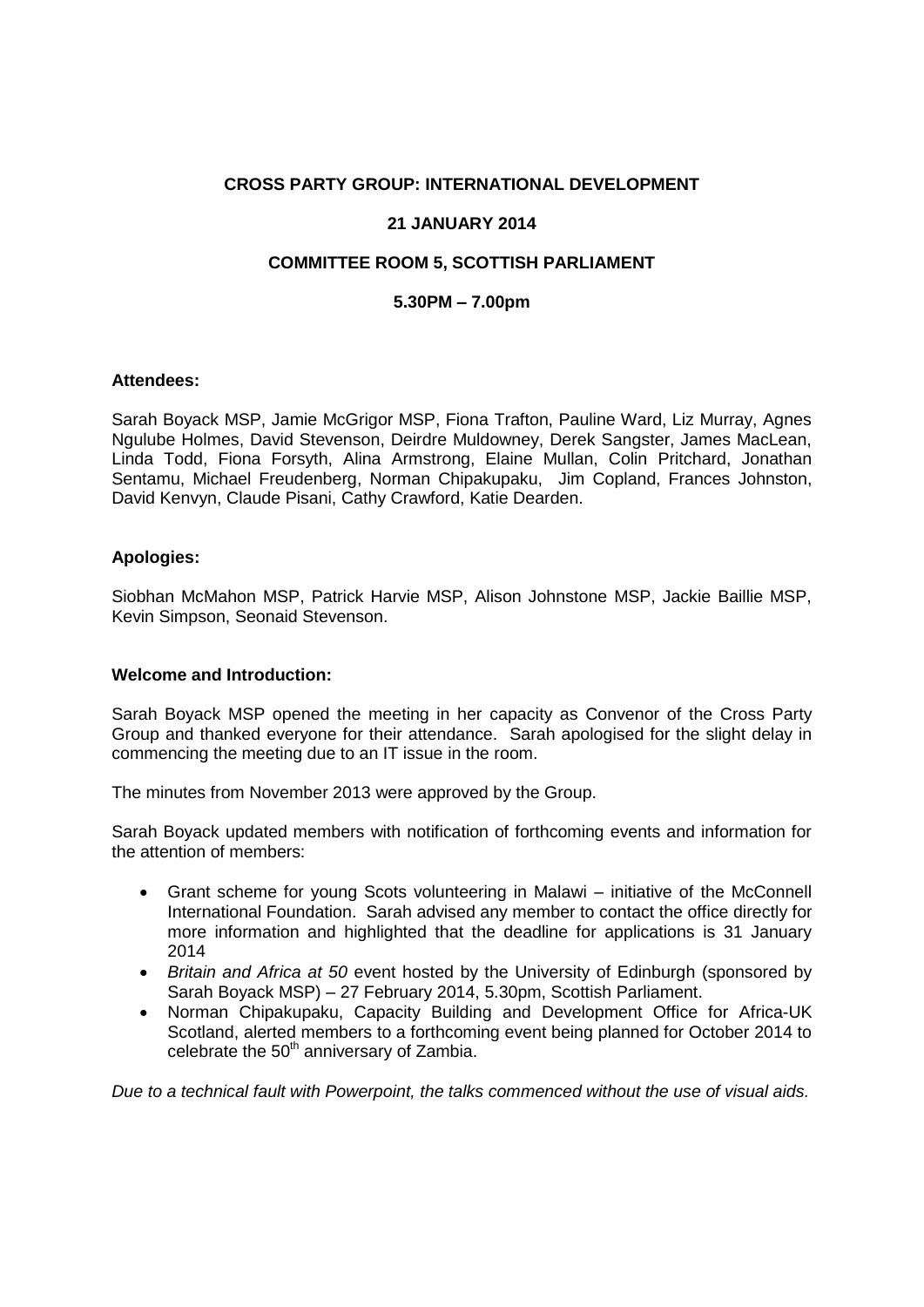## **CROSS PARTY GROUP: INTERNATIONAL DEVELOPMENT**

# **21 JANUARY 2014**

# **COMMITTEE ROOM 5, SCOTTISH PARLIAMENT**

## **5.30PM – 7.00pm**

#### **Attendees:**

Sarah Boyack MSP, Jamie McGrigor MSP, Fiona Trafton, Pauline Ward, Liz Murray, Agnes Ngulube Holmes, David Stevenson, Deirdre Muldowney, Derek Sangster, James MacLean, Linda Todd, Fiona Forsyth, Alina Armstrong, Elaine Mullan, Colin Pritchard, Jonathan Sentamu, Michael Freudenberg, Norman Chipakupaku, Jim Copland, Frances Johnston, David Kenvyn, Claude Pisani, Cathy Crawford, Katie Dearden.

### **Apologies:**

Siobhan McMahon MSP, Patrick Harvie MSP, Alison Johnstone MSP, Jackie Baillie MSP, Kevin Simpson, Seonaid Stevenson.

#### **Welcome and Introduction:**

Sarah Boyack MSP opened the meeting in her capacity as Convenor of the Cross Party Group and thanked everyone for their attendance. Sarah apologised for the slight delay in commencing the meeting due to an IT issue in the room.

The minutes from November 2013 were approved by the Group.

Sarah Boyack updated members with notification of forthcoming events and information for the attention of members:

- Grant scheme for young Scots volunteering in Malawi initiative of the McConnell International Foundation. Sarah advised any member to contact the office directly for more information and highlighted that the deadline for applications is 31 January 2014
- *Britain and Africa at 50* event hosted by the University of Edinburgh (sponsored by Sarah Boyack MSP) – 27 February 2014, 5.30pm, Scottish Parliament.
- Norman Chipakupaku, Capacity Building and Development Office for Africa-UK Scotland, alerted members to a forthcoming event being planned for October 2014 to celebrate the  $50<sup>th</sup>$  anniversary of Zambia.

*Due to a technical fault with Powerpoint, the talks commenced without the use of visual aids.*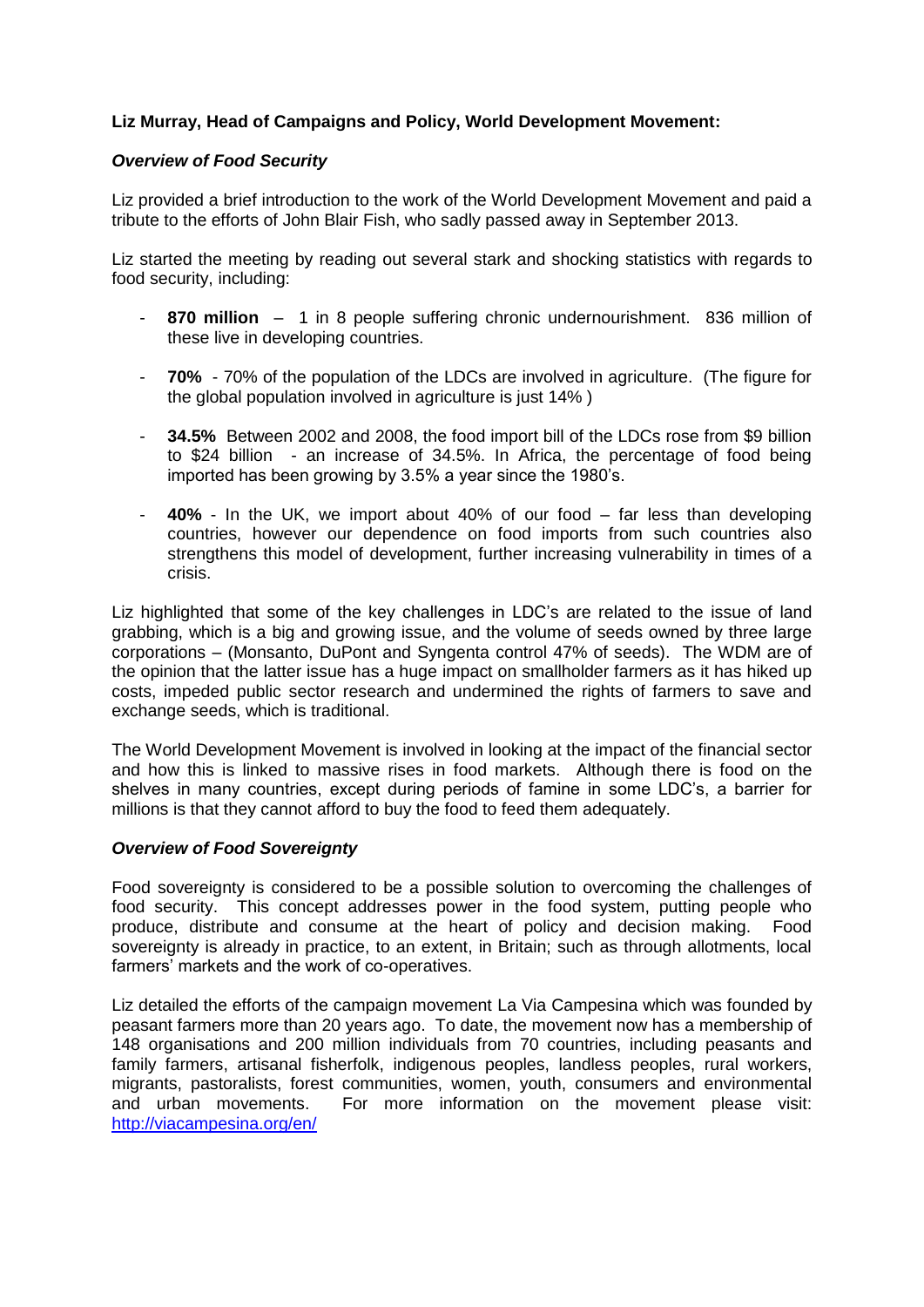# **Liz Murray, Head of Campaigns and Policy, World Development Movement:**

## *Overview of Food Security*

Liz provided a brief introduction to the work of the World Development Movement and paid a tribute to the efforts of John Blair Fish, who sadly passed away in September 2013.

Liz started the meeting by reading out several stark and shocking statistics with regards to food security, including:

- **870 million** 1 in 8 people suffering chronic undernourishment. 836 million of these live in developing countries.
- **70%** 70% of the population of the LDCs are involved in agriculture. (The figure for the global population involved in agriculture is just 14% )
- **34.5%** Between 2002 and 2008, the food import bill of the LDCs rose from \$9 billion to \$24 billion - an increase of 34.5%. In Africa, the percentage of food being imported has been growing by 3.5% a year since the 1980's.
- **40%** In the UK, we import about 40% of our food far less than developing countries, however our dependence on food imports from such countries also strengthens this model of development, further increasing vulnerability in times of a crisis.

Liz highlighted that some of the key challenges in LDC's are related to the issue of land grabbing, which is a big and growing issue, and the volume of seeds owned by three large corporations – (Monsanto, DuPont and Syngenta control 47% of seeds). The WDM are of the opinion that the latter issue has a huge impact on smallholder farmers as it has hiked up costs, impeded public sector research and undermined the rights of farmers to save and exchange seeds, which is traditional.

The World Development Movement is involved in looking at the impact of the financial sector and how this is linked to massive rises in food markets. Although there is food on the shelves in many countries, except during periods of famine in some LDC's, a barrier for millions is that they cannot afford to buy the food to feed them adequately.

## *Overview of Food Sovereignty*

Food sovereignty is considered to be a possible solution to overcoming the challenges of food security. This concept addresses power in the food system, putting people who produce, distribute and consume at the heart of policy and decision making. Food sovereignty is already in practice, to an extent, in Britain; such as through allotments, local farmers' markets and the work of co-operatives.

Liz detailed the efforts of the campaign movement La Via Campesina which was founded by peasant farmers more than 20 years ago. To date, the movement now has a membership of 148 organisations and 200 million individuals from 70 countries, including peasants and family farmers, artisanal fisherfolk, indigenous peoples, landless peoples, rural workers, migrants, pastoralists, forest communities, women, youth, consumers and environmental and urban movements. For more information on the movement please visit: <http://viacampesina.org/en/>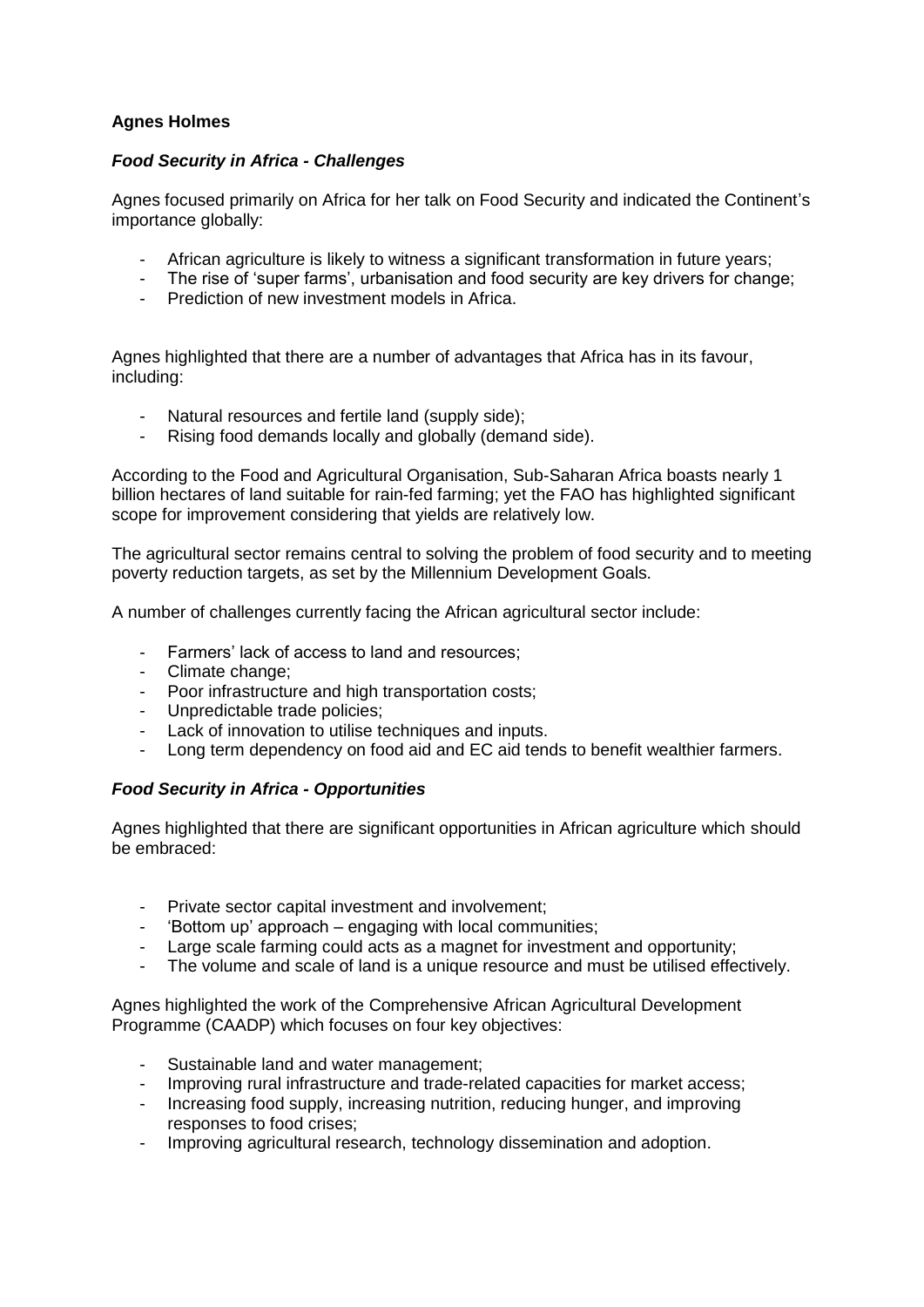# **Agnes Holmes**

# *Food Security in Africa - Challenges*

Agnes focused primarily on Africa for her talk on Food Security and indicated the Continent's importance globally:

- African agriculture is likely to witness a significant transformation in future years;
- The rise of 'super farms', urbanisation and food security are key drivers for change;
- Prediction of new investment models in Africa.

Agnes highlighted that there are a number of advantages that Africa has in its favour, including:

- Natural resources and fertile land (supply side);
- Rising food demands locally and globally (demand side).

According to the Food and Agricultural Organisation, Sub-Saharan Africa boasts nearly 1 billion hectares of land suitable for rain-fed farming; yet the FAO has highlighted significant scope for improvement considering that yields are relatively low.

The agricultural sector remains central to solving the problem of food security and to meeting poverty reduction targets, as set by the Millennium Development Goals.

A number of challenges currently facing the African agricultural sector include:

- Farmers' lack of access to land and resources;
- Climate change;
- Poor infrastructure and high transportation costs;
- Unpredictable trade policies;
- Lack of innovation to utilise techniques and inputs.
- Long term dependency on food aid and EC aid tends to benefit wealthier farmers.

## *Food Security in Africa - Opportunities*

Agnes highlighted that there are significant opportunities in African agriculture which should be embraced:

- Private sector capital investment and involvement;
- 'Bottom up' approach engaging with local communities;
- Large scale farming could acts as a magnet for investment and opportunity;
- The volume and scale of land is a unique resource and must be utilised effectively.

Agnes highlighted the work of the Comprehensive African Agricultural Development Programme (CAADP) which focuses on four key objectives:

- Sustainable land and water management;
- Improving rural infrastructure and trade-related capacities for market access:
- Increasing food supply, increasing nutrition, reducing hunger, and improving responses to food crises;
- Improving agricultural research, technology dissemination and adoption.